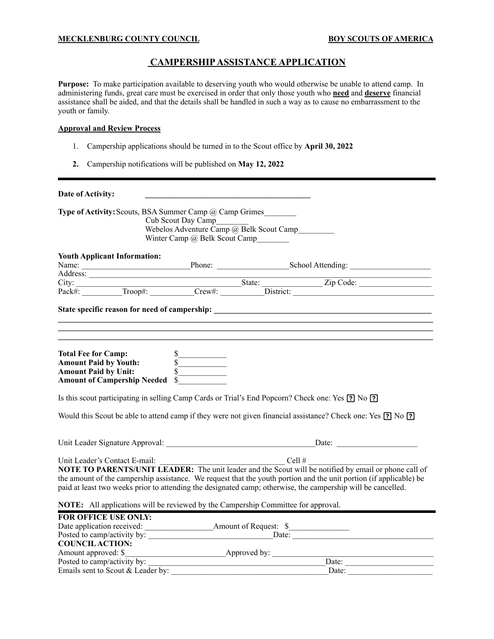#### **MECKLENBURG COUNTY COUNCIL BOY SCOUTS OF AMERICA**

### **CAMPERSHIP ASSISTANCE APPLICATION**

**Purpose:** To make participation available to deserving youth who would otherwise be unable to attend camp. In administering funds, great care must be exercised in order that only those youth who **need** and **deserve** financial assistance shall be aided, and that the details shall be handled in such a way as to cause no embarrassment to the youth or family.

#### **Approval and Review Process**

- 1. Campership applications should be turned in to the Scout office by **April 30, 2022**
- **2.** Campership notifications will be published on **May 12, 2022**

| Date of Activity:                   |                                                                                                                                  |                               |                                                                                                                                                                                                                                                                                                                                                                                                          |  |
|-------------------------------------|----------------------------------------------------------------------------------------------------------------------------------|-------------------------------|----------------------------------------------------------------------------------------------------------------------------------------------------------------------------------------------------------------------------------------------------------------------------------------------------------------------------------------------------------------------------------------------------------|--|
|                                     | <b>Type of Activity:</b> Scouts, BSA Summer Camp @ Camp Grimes<br>Cub Scout Day Camp<br>Webelos Adventure Camp @ Belk Scout Camp | Winter Camp @ Belk Scout Camp |                                                                                                                                                                                                                                                                                                                                                                                                          |  |
| <b>Youth Applicant Information:</b> |                                                                                                                                  |                               |                                                                                                                                                                                                                                                                                                                                                                                                          |  |
|                                     |                                                                                                                                  |                               | Name: Phone: School Attending: School Attending: School Attending: School Attending: School Attending: School Attending: School Attending: School Attending: School Attending: School Attending: School Attending: School Atte                                                                                                                                                                           |  |
|                                     |                                                                                                                                  |                               |                                                                                                                                                                                                                                                                                                                                                                                                          |  |
|                                     |                                                                                                                                  |                               |                                                                                                                                                                                                                                                                                                                                                                                                          |  |
|                                     |                                                                                                                                  |                               |                                                                                                                                                                                                                                                                                                                                                                                                          |  |
|                                     | Total Fee for Camp:<br>Amount Paid by Youth:<br>Amount Paid by Unit:<br>S<br>Amount of Campership Needed \$                      |                               |                                                                                                                                                                                                                                                                                                                                                                                                          |  |
|                                     |                                                                                                                                  |                               | Is this scout participating in selling Camp Cards or Trial's End Popcorn? Check one: Yes [?] No [?]                                                                                                                                                                                                                                                                                                      |  |
|                                     |                                                                                                                                  |                               | Would this Scout be able to attend camp if they were not given financial assistance? Check one: Yes [?] No [?]                                                                                                                                                                                                                                                                                           |  |
|                                     |                                                                                                                                  |                               |                                                                                                                                                                                                                                                                                                                                                                                                          |  |
|                                     |                                                                                                                                  |                               | Unit Leader's Contact E-mail: $\frac{\text{Cell}\#}{\text{NOTE TO PARENTS/UNIT LEADER: The unit leader and the Scott will be notified by email or phone call of }$<br>the amount of the campership assistance. We request that the youth portion and the unit portion (if applicable) be<br>paid at least two weeks prior to attending the designated camp; otherwise, the campership will be cancelled. |  |
|                                     | NOTE: All applications will be reviewed by the Campership Committee for approval.                                                |                               |                                                                                                                                                                                                                                                                                                                                                                                                          |  |
| <b>FOR OFFICE USE ONLY:</b>         |                                                                                                                                  |                               |                                                                                                                                                                                                                                                                                                                                                                                                          |  |
|                                     |                                                                                                                                  |                               |                                                                                                                                                                                                                                                                                                                                                                                                          |  |
|                                     |                                                                                                                                  |                               |                                                                                                                                                                                                                                                                                                                                                                                                          |  |
| <b>COUNCIL ACTION:</b>              |                                                                                                                                  |                               |                                                                                                                                                                                                                                                                                                                                                                                                          |  |
| Amount approved: \$                 | <b>Example 2018</b> Approved by:                                                                                                 |                               |                                                                                                                                                                                                                                                                                                                                                                                                          |  |

Posted to camp/activity by: \_\_\_\_\_\_\_\_\_\_\_\_\_\_\_\_\_\_\_\_\_\_\_\_\_\_\_\_\_\_\_\_\_\_\_\_\_\_\_\_\_\_\_\_Date: \_\_\_\_\_\_\_\_\_\_\_\_\_\_\_\_\_\_\_\_\_\_ Emails sent to Scout & Leader by: \_\_\_\_\_\_\_\_\_\_\_\_\_\_\_\_\_\_\_\_\_\_\_\_\_\_\_\_\_\_\_\_\_\_\_\_\_\_\_Date: \_\_\_\_\_\_\_\_\_\_\_\_\_\_\_\_\_\_\_\_\_